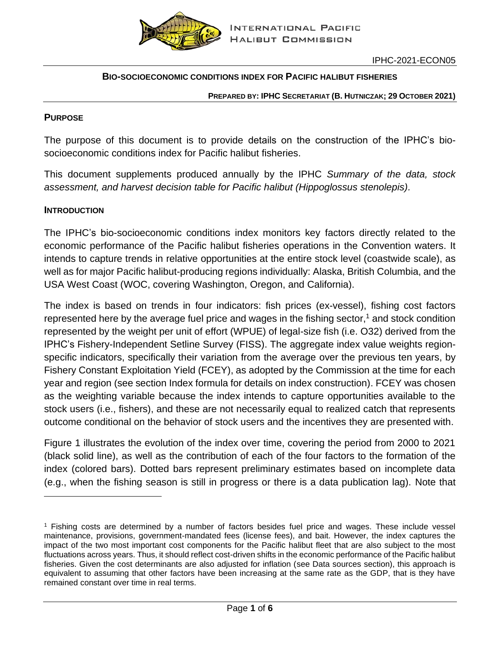

### **BIO-SOCIOECONOMIC CONDITIONS INDEX FOR PACIFIC HALIBUT FISHERIES**

#### **PREPARED BY: IPHC SECRETARIAT (B. HUTNICZAK; 29 OCTOBER 2021)**

# **PURPOSE**

The purpose of this document is to provide details on the construction of the IPHC's biosocioeconomic conditions index for Pacific halibut fisheries.

This document supplements produced annually by the IPHC *Summary of the data, stock assessment, and harvest decision table for Pacific halibut (Hippoglossus stenolepis).*

## **INTRODUCTION**

The IPHC's bio-socioeconomic conditions index monitors key factors directly related to the economic performance of the Pacific halibut fisheries operations in the Convention waters. It intends to capture trends in relative opportunities at the entire stock level (coastwide scale), as well as for major Pacific halibut-producing regions individually: Alaska, British Columbia, and the USA West Coast (WOC, covering Washington, Oregon, and California).

The index is based on trends in four indicators: fish prices (ex-vessel), fishing cost factors represented here by the average fuel price and wages in the fishing sector, $1$  and stock condition represented by the weight per unit of effort (WPUE) of legal-size fish (i.e. O32) derived from the IPHC's Fishery-Independent Setline Survey (FISS). The aggregate index value weights regionspecific indicators, specifically their variation from the average over the previous ten years, by Fishery Constant Exploitation Yield (FCEY), as adopted by the Commission at the time for each year and region (see section [Index formula](#page-4-0) for details on index construction). FCEY was chosen as the weighting variable because the index intends to capture opportunities available to the stock users (i.e., fishers), and these are not necessarily equal to realized catch that represents outcome conditional on the behavior of stock users and the incentives they are presented with.

[Figure 1](#page-2-0) illustrates the evolution of the index over time, covering the period from 2000 to 2021 (black solid line), as well as the contribution of each of the four factors to the formation of the index (colored bars). Dotted bars represent preliminary estimates based on incomplete data (e.g., when the fishing season is still in progress or there is a data publication lag). Note that

<sup>1</sup> Fishing costs are determined by a number of factors besides fuel price and wages. These include vessel maintenance, provisions, government-mandated fees (license fees), and bait. However, the index captures the impact of the two most important cost components for the Pacific halibut fleet that are also subject to the most fluctuations across years. Thus, it should reflect cost-driven shifts in the economic performance of the Pacific halibut fisheries. Given the cost determinants are also adjusted for inflation (see [Data sources](#page-2-1) section), this approach is equivalent to assuming that other factors have been increasing at the same rate as the GDP, that is they have remained constant over time in real terms.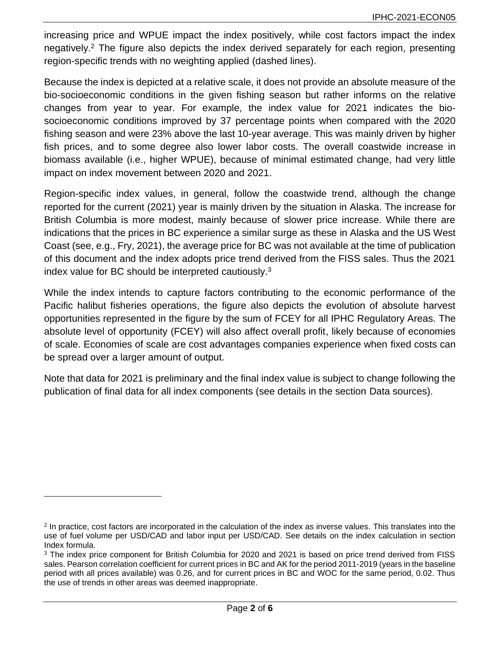increasing price and WPUE impact the index positively, while cost factors impact the index negatively.<sup>2</sup> The figure also depicts the index derived separately for each region, presenting region-specific trends with no weighting applied (dashed lines).

Because the index is depicted at a relative scale, it does not provide an absolute measure of the bio-socioeconomic conditions in the given fishing season but rather informs on the relative changes from year to year. For example, the index value for 2021 indicates the biosocioeconomic conditions improved by 37 percentage points when compared with the 2020 fishing season and were 23% above the last 10-year average. This was mainly driven by higher fish prices, and to some degree also lower labor costs. The overall coastwide increase in biomass available (i.e., higher WPUE), because of minimal estimated change, had very little impact on index movement between 2020 and 2021.

Region-specific index values, in general, follow the coastwide trend, although the change reported for the current (2021) year is mainly driven by the situation in Alaska. The increase for British Columbia is more modest, mainly because of slower price increase. While there are indications that the prices in BC experience a similar surge as these in Alaska and the US West Coast (see, e.g., Fry, 2021), the average price for BC was not available at the time of publication of this document and the index adopts price trend derived from the FISS sales. Thus the 2021 index value for BC should be interpreted cautiously.<sup>3</sup>

While the index intends to capture factors contributing to the economic performance of the Pacific halibut fisheries operations, the figure also depicts the evolution of absolute harvest opportunities represented in the figure by the sum of FCEY for all IPHC Regulatory Areas. The absolute level of opportunity (FCEY) will also affect overall profit, likely because of economies of scale. Economies of scale are cost advantages companies experience when fixed costs can be spread over a larger amount of output.

Note that data for 2021 is preliminary and the final index value is subject to change following the publication of final data for all index components (see details in the section [Data sources\)](#page-2-1).

<sup>2</sup> In practice, cost factors are incorporated in the calculation of the index as inverse values. This translates into the use of fuel volume per USD/CAD and labor input per USD/CAD. See details on the index calculation in section [Index formula.](#page-4-0)

<sup>&</sup>lt;sup>3</sup> The index price component for British Columbia for 2020 and 2021 is based on price trend derived from FISS sales. Pearson correlation coefficient for current prices in BC and AK for the period 2011-2019 (years in the baseline period with all prices available) was 0.26, and for current prices in BC and WOC for the same period, 0.02. Thus the use of trends in other areas was deemed inappropriate.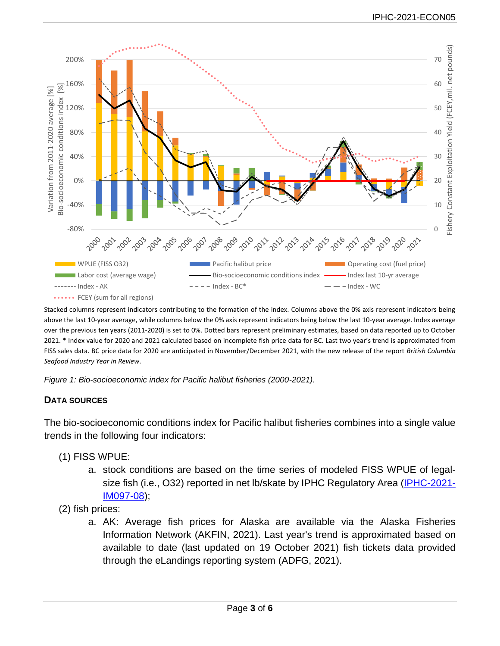

Stacked columns represent indicators contributing to the formation of the index. Columns above the 0% axis represent indicators being above the last 10-year average, while columns below the 0% axis represent indicators being below the last 10-year average. Index average over the previous ten years (2011-2020) is set to 0%. Dotted bars represent preliminary estimates, based on data reported up to October 2021. \* Index value for 2020 and 2021 calculated based on incomplete fish price data for BC. Last two year's trend is approximated from FISS sales data. BC price data for 2020 are anticipated in November/December 2021, with the new release of the report *British Columbia Seafood Industry Year in Review*.

<span id="page-2-0"></span>*Figure 1: Bio-socioeconomic index for Pacific halibut fisheries (2000-2021).*

# <span id="page-2-1"></span>**DATA SOURCES**

The bio-socioeconomic conditions index for Pacific halibut fisheries combines into a single value trends in the following four indicators:

- (1) FISS WPUE:
	- a. stock conditions are based on the time series of modeled FISS WPUE of legal-size fish (i.e., O32) reported in net lb/skate by IPHC Regulatory Area [\(IPHC-2021-](https://www.iphc.int/uploads/pdf/im/im097/iphc-2021-im097-08.pdf) [IM097-08\)](https://www.iphc.int/uploads/pdf/im/im097/iphc-2021-im097-08.pdf);
- (2) fish prices:
	- a. AK: Average fish prices for Alaska are available via the Alaska Fisheries Information Network (AKFIN, 2021). Last year's trend is approximated based on available to date (last updated on 19 October 2021) fish tickets data provided through the eLandings reporting system (ADFG, 2021).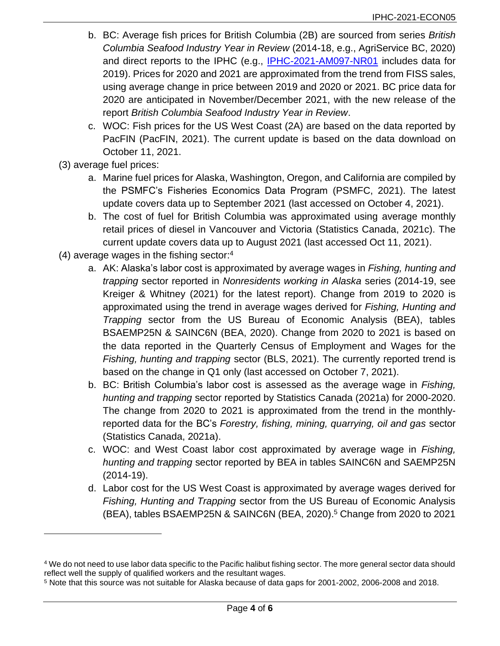- b. BC: Average fish prices for British Columbia (2B) are sourced from series *British Columbia Seafood Industry Year in Review* (2014-18, e.g., AgriService BC, 2020) and direct reports to the IPHC (e.g., [IPHC-2021-AM097-NR01](https://www.iphc.int/uploads/pdf/am/am097/iphc-2021-am097-nr01.pdf) includes data for 2019). Prices for 2020 and 2021 are approximated from the trend from FISS sales, using average change in price between 2019 and 2020 or 2021. BC price data for 2020 are anticipated in November/December 2021, with the new release of the report *British Columbia Seafood Industry Year in Review*.
- c. WOC: Fish prices for the US West Coast (2A) are based on the data reported by PacFIN (PacFIN, 2021). The current update is based on the data download on October 11, 2021.
- (3) average fuel prices:
	- a. Marine fuel prices for Alaska, Washington, Oregon, and California are compiled by the PSMFC's Fisheries Economics Data Program (PSMFC, 2021). The latest update covers data up to September 2021 (last accessed on October 4, 2021).
	- b. The cost of fuel for British Columbia was approximated using average monthly retail prices of diesel in Vancouver and Victoria (Statistics Canada, 2021c). The current update covers data up to August 2021 (last accessed Oct 11, 2021).
- (4) average wages in the fishing sector: 4
	- a. AK: Alaska's labor cost is approximated by average wages in *Fishing, hunting and trapping* sector reported in *Nonresidents working in Alaska* series (2014-19, see Kreiger & Whitney (2021) for the latest report). Change from 2019 to 2020 is approximated using the trend in average wages derived for *Fishing, Hunting and Trapping* sector from the US Bureau of Economic Analysis (BEA), tables BSAEMP25N & SAINC6N (BEA, 2020). Change from 2020 to 2021 is based on the data reported in the Quarterly Census of Employment and Wages for the *Fishing, hunting and trapping* sector (BLS, 2021). The currently reported trend is based on the change in Q1 only (last accessed on October 7, 2021).
	- b. BC: British Columbia's labor cost is assessed as the average wage in *Fishing, hunting and trapping* sector reported by Statistics Canada (2021a) for 2000-2020. The change from 2020 to 2021 is approximated from the trend in the monthlyreported data for the BC's *Forestry, fishing, mining, quarrying, oil and gas* sector (Statistics Canada, 2021a).
	- c. WOC: and West Coast labor cost approximated by average wage in *Fishing, hunting and trapping* sector reported by BEA in tables SAINC6N and SAEMP25N (2014-19).
	- d. Labor cost for the US West Coast is approximated by average wages derived for *Fishing, Hunting and Trapping* sector from the US Bureau of Economic Analysis (BEA), tables BSAEMP25N & SAINC6N (BEA, 2020). <sup>5</sup> Change from 2020 to 2021

<sup>4</sup> We do not need to use labor data specific to the Pacific halibut fishing sector. The more general sector data should reflect well the supply of qualified workers and the resultant wages.

<sup>5</sup> Note that this source was not suitable for Alaska because of data gaps for 2001-2002, 2006-2008 and 2018.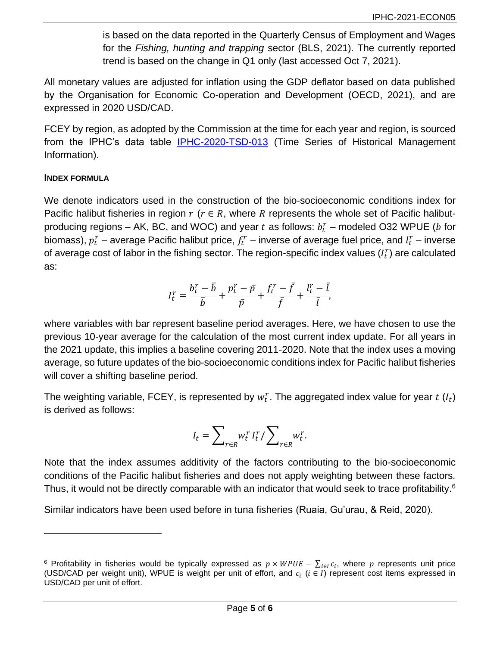is based on the data reported in the Quarterly Census of Employment and Wages for the *Fishing, hunting and trapping* sector (BLS, 2021). The currently reported trend is based on the change in Q1 only (last accessed Oct 7, 2021).

All monetary values are adjusted for inflation using the GDP deflator based on data published by the Organisation for Economic Co-operation and Development (OECD, 2021), and are expressed in 2020 USD/CAD.

FCEY by region, as adopted by the Commission at the time for each year and region, is sourced from the IPHC's data table **[IPHC-2020-TSD-013](https://www.iphc.int/data/time-series-datasets)** (Time Series of Historical Management Information).

## <span id="page-4-0"></span>**INDEX FORMULA**

We denote indicators used in the construction of the bio-socioeconomic conditions index for Pacific halibut fisheries in region  $r$  ( $r \in R$ , where R represents the whole set of Pacific halibutproducing regions – AK, BC, and WOC) and year  $t$  as follows:  $b_t^r$  – modeled O32 WPUE ( $b$  for biomass),  $p_t^r$  – average Pacific halibut price,  $f_t^r$  – inverse of average fuel price, and  $l_t^r$  – inverse of average cost of labor in the fishing sector. The region-specific index values  $\left(I^r_t\right)$  are calculated as:

$$
I_t^r = \frac{b_t^r - \overline{b}}{\overline{b}} + \frac{p_t^r - \overline{p}}{\overline{p}} + \frac{f_t^r - \overline{f}}{\overline{f}} + \frac{l_t^r - \overline{l}}{\overline{l}},
$$

where variables with bar represent baseline period averages. Here, we have chosen to use the previous 10-year average for the calculation of the most current index update. For all years in the 2021 update, this implies a baseline covering 2011-2020. Note that the index uses a moving average, so future updates of the bio-socioeconomic conditions index for Pacific halibut fisheries will cover a shifting baseline period.

The weighting variable, FCEY, is represented by  $w_{t}^{r}$ . The aggregated index value for year  $t\ (l_{t})$ is derived as follows:

$$
I_t = \sum_{r \in R} w_t^r I_t^r / \sum_{r \in R} w_t^r.
$$

Note that the index assumes additivity of the factors contributing to the bio-socioeconomic conditions of the Pacific halibut fisheries and does not apply weighting between these factors. Thus, it would not be directly comparable with an indicator that would seek to trace profitability.<sup>6</sup>

Similar indicators have been used before in tuna fisheries (Ruaia, Gu'urau, & Reid, 2020).

 $^6$  Profitability in fisheries would be typically expressed as  $p\times WPUE-\sum_{i\in I}c_i,$  where  $p$  represents unit price (USD/CAD per weight unit), WPUE is weight per unit of effort, and  $c_i$  ( $i \in I$ ) represent cost items expressed in USD/CAD per unit of effort.